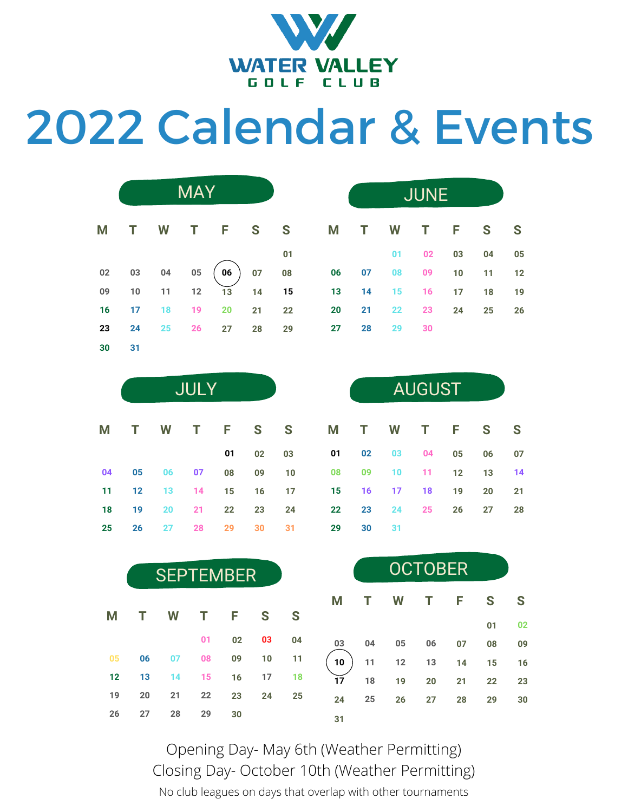

## Calendar & Events

|    |       |          |       | M T W T F S  |    | S  |
|----|-------|----------|-------|--------------|----|----|
|    |       |          |       |              |    | 01 |
| 02 |       | 03 04 05 |       | $(06)$ 07 08 |    |    |
| 09 |       | 10 11    | 12    | 13           | 14 | 15 |
| 16 | 17 18 |          | 19 20 |              | 21 | 22 |
| 23 | 24    |          |       | 25 26 27 28  |    | 29 |
| 30 | 31    |          |       |              |    |    |

JULY

**M T W T F S S**

**02 03**

**31**

| MAY |    |    |    |                                                                                                                             | <b>JUNE</b> |                    |          |    |          |    |
|-----|----|----|----|-----------------------------------------------------------------------------------------------------------------------------|-------------|--------------------|----------|----|----------|----|
|     |    |    |    | T F S S M T W T F S S                                                                                                       |             |                    |          |    |          |    |
|     |    |    | 01 |                                                                                                                             |             |                    | 01 02    | 03 | 04       | 05 |
|     |    |    |    | $\begin{array}{cccc} 05 & \overline{06} & 07 & 08 & 06 & 07 & 08 & 09 \\ 12 & 13 & 14 & 15 & 13 & 14 & 15 & 16 \end{array}$ |             |                    |          |    | 10 11 12 |    |
|     |    |    |    |                                                                                                                             |             | 14  15  16  17  18 |          |    |          | 19 |
| 19  | 20 | 21 | 22 | 20                                                                                                                          | 21          |                    | 22 23 24 |    | 25       | 26 |
| 26  | 27 | 28 | 29 | 27                                                                                                                          | 28          |                    | 29 30    |    |          |    |

| <b>AUGUST</b> |    |    |    |    |    |    |  |
|---------------|----|----|----|----|----|----|--|
| M             | т  | W  | Т  | F  | S  | S  |  |
| 01            | 02 | 03 | 04 | 05 | 06 | 07 |  |
| 08            | 09 | 10 | 11 | 12 | 13 | 14 |  |
| 15            | 16 | 17 | 18 | 19 | 20 | 21 |  |
| 22            | 23 | 24 | 25 | 26 | 27 | 28 |  |
| 29            | 30 | 31 |    |    |    |    |  |

|    | <b>SEPTEMBER</b> |    |    |    |    | <b>OCTOBER</b> |    |    |    |    |    |    |    |
|----|------------------|----|----|----|----|----------------|----|----|----|----|----|----|----|
|    |                  |    |    |    |    |                | M  |    | W  |    | F  | S  | S  |
| Μ  |                  | W  |    | F  | S  | S              |    |    |    |    |    | 01 | 02 |
|    |                  |    | 01 | 02 | 03 | 04             | 03 | 04 | 05 | 06 | 07 | 08 | 09 |
| 05 | 06               | 07 | 08 | 09 | 10 | 11             | 10 | 11 | 12 | 13 | 14 | 15 | 16 |
| 12 | 13               | 14 | 15 | 16 | 17 | 18             | 17 | 18 | 19 | 20 | 21 | 22 | 23 |
| 19 | 20               | 21 | 22 | 23 | 24 | 25             | 24 | 25 | 26 | 27 | 28 | 29 | 30 |
| 26 | 27               | 28 | 29 | 30 |    |                | 31 |    |    |    |    |    |    |

No club leagues on days that overlap with other tournaments Opening Day- May 6th (Weather Permitting) Closing Day- October 10th (Weather Permitting)